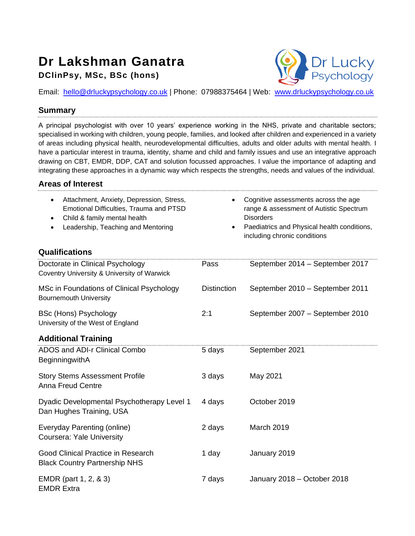## **Dr Lakshman Ganatra DClinPsy, MSc, BSc (hons)**



Email: [hello@drluckypsychology.co.uk](mailto:hello@drluckypsychology.co.uk) | Phone: 07988375464 | Web: [www.drluckypsychology.co.uk](http://www.drluckypsychology.co.uk/)

## **Summary**

A principal psychologist with over 10 years' experience working in the NHS, private and charitable sectors; specialised in working with children, young people, families, and looked after children and experienced in a variety of areas including physical health, neurodevelopmental difficulties, adults and older adults with mental health. I have a particular interest in trauma, identity, shame and child and family issues and use an integrative approach drawing on CBT, EMDR, DDP, CAT and solution focussed approaches. I value the importance of adapting and integrating these approaches in a dynamic way which respects the strengths, needs and values of the individual.

## **Areas of Interest**

| Attachment, Anxiety, Depression, Stress,<br>Emotional Difficulties, Trauma and PTSD<br>Child & family mental health<br>Leadership, Teaching and Mentoring<br>$\bullet$<br>Qualifications | $\bullet$          | Cognitive assessments across the age<br>range & assessment of Autistic Spectrum<br><b>Disorders</b><br>Paediatrics and Physical health conditions,<br>including chronic conditions |
|------------------------------------------------------------------------------------------------------------------------------------------------------------------------------------------|--------------------|------------------------------------------------------------------------------------------------------------------------------------------------------------------------------------|
| Doctorate in Clinical Psychology<br>Coventry University & University of Warwick                                                                                                          | Pass               | September 2014 - September 2017                                                                                                                                                    |
| MSc in Foundations of Clinical Psychology<br><b>Bournemouth University</b>                                                                                                               | <b>Distinction</b> | September 2010 - September 2011                                                                                                                                                    |
| <b>BSc (Hons) Psychology</b><br>University of the West of England                                                                                                                        | 2:1                | September 2007 - September 2010                                                                                                                                                    |
| <b>Additional Training</b>                                                                                                                                                               |                    |                                                                                                                                                                                    |
| ADOS and ADI-r Clinical Combo<br>BeginningwithA                                                                                                                                          | 5 days             | September 2021                                                                                                                                                                     |
| <b>Story Stems Assessment Profile</b><br><b>Anna Freud Centre</b>                                                                                                                        | 3 days             | May 2021                                                                                                                                                                           |
| Dyadic Developmental Psychotherapy Level 1<br>Dan Hughes Training, USA                                                                                                                   | 4 days             | October 2019                                                                                                                                                                       |
| Everyday Parenting (online)<br>Coursera: Yale University                                                                                                                                 | 2 days             | March 2019                                                                                                                                                                         |
| Good Clinical Practice in Research<br><b>Black Country Partnership NHS</b>                                                                                                               | 1 day              | January 2019                                                                                                                                                                       |
| EMDR (part 1, 2, & 3)<br><b>EMDR Extra</b>                                                                                                                                               | 7 days             | January 2018 - October 2018                                                                                                                                                        |